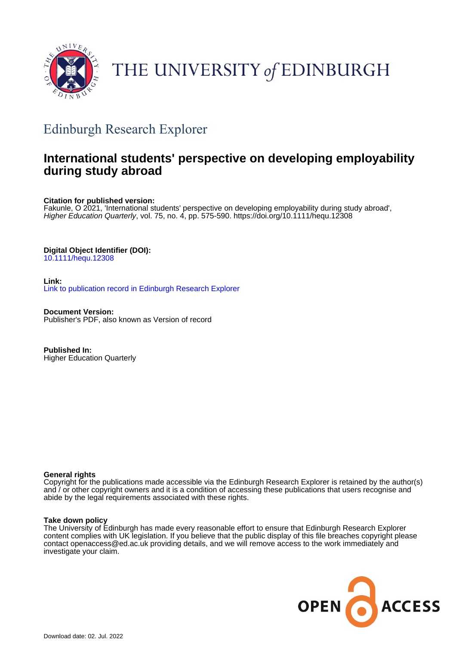

# THE UNIVERSITY of EDINBURGH

## Edinburgh Research Explorer

## **International students' perspective on developing employability during study abroad**

**Citation for published version:**

Fakunle, O 2021, 'International students' perspective on developing employability during study abroad', Higher Education Quarterly, vol. 75, no. 4, pp. 575-590. <https://doi.org/10.1111/hequ.12308>

### **Digital Object Identifier (DOI):**

[10.1111/hequ.12308](https://doi.org/10.1111/hequ.12308)

**Link:** [Link to publication record in Edinburgh Research Explorer](https://www.research.ed.ac.uk/en/publications/8b362cc6-3166-4b1b-96ca-0d736d4cc398)

**Document Version:** Publisher's PDF, also known as Version of record

**Published In:** Higher Education Quarterly

#### **General rights**

Copyright for the publications made accessible via the Edinburgh Research Explorer is retained by the author(s) and / or other copyright owners and it is a condition of accessing these publications that users recognise and abide by the legal requirements associated with these rights.

#### **Take down policy**

The University of Edinburgh has made every reasonable effort to ensure that Edinburgh Research Explorer content complies with UK legislation. If you believe that the public display of this file breaches copyright please contact openaccess@ed.ac.uk providing details, and we will remove access to the work immediately and investigate your claim.

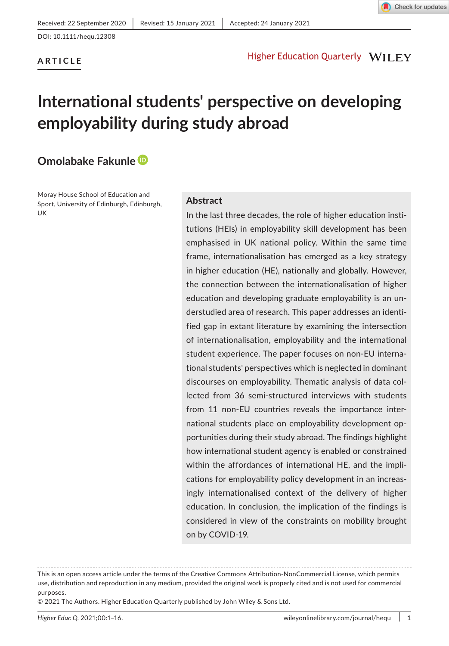

#### **ARTICLE**

#### Higher Education Quarterly WILEY

## **International students' perspective on developing employability during study abroad**

### **Omolabake Fakunl[e](https://orcid.org/0000-0002-1729-7934)**

Moray House School of Education and Sport, University of Edinburgh, Edinburgh, UK

#### **Abstract**

In the last three decades, the role of higher education institutions (HEIs) in employability skill development has been emphasised in UK national policy. Within the same time frame, internationalisation has emerged as a key strategy in higher education (HE), nationally and globally. However, the connection between the internationalisation of higher education and developing graduate employability is an understudied area of research. This paper addresses an identified gap in extant literature by examining the intersection of internationalisation, employability and the international student experience. The paper focuses on non-EU international students' perspectives which is neglected in dominant discourses on employability. Thematic analysis of data collected from 36 semi-structured interviews with students from 11 non-EU countries reveals the importance international students place on employability development opportunities during their study abroad. The findings highlight how international student agency is enabled or constrained within the affordances of international HE, and the implications for employability policy development in an increasingly internationalised context of the delivery of higher education. In conclusion, the implication of the findings is considered in view of the constraints on mobility brought on by COVID-19.

This is an open access article under the terms of the [Creative Commons Attribution-NonCommercial](http://creativecommons.org/licenses/by-nc/4.0/) License, which permits use, distribution and reproduction in any medium, provided the original work is properly cited and is not used for commercial purposes.

<sup>© 2021</sup> The Authors. Higher Education Quarterly published by John Wiley & Sons Ltd.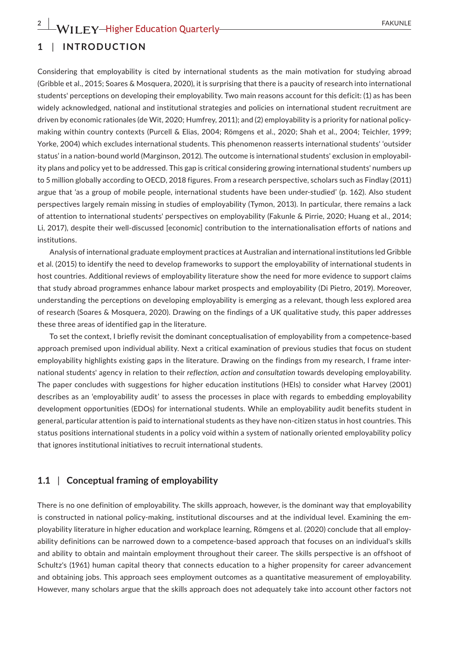#### **1** | **INTRODUCTION**

Considering that employability is cited by international students as the main motivation for studying abroad (Gribble et al., 2015; Soares & Mosquera, 2020), it is surprising that there is a paucity of research into international students' perceptions on developing their employability. Two main reasons account for this deficit: (1) as has been widely acknowledged, national and institutional strategies and policies on international student recruitment are driven by economic rationales (de Wit, 2020; Humfrey, 2011); and (2) employability is a priority for national policymaking within country contexts (Purcell & Elias, 2004; Römgens et al., 2020; Shah et al., 2004; Teichler, 1999; Yorke, 2004) which excludes international students. This phenomenon reasserts international students' 'outsider status' in a nation-bound world (Marginson, 2012). The outcome is international students' exclusion in employability plans and policy yet to be addressed. This gap is critical considering growing international students' numbers up to 5 million globally according to OECD, 2018 figures. From a research perspective, scholars such as Findlay (2011) argue that 'as a group of mobile people, international students have been under-studied' (p. 162). Also student perspectives largely remain missing in studies of employability (Tymon, 2013). In particular, there remains a lack of attention to international students' perspectives on employability (Fakunle & Pirrie, 2020; Huang et al., 2014; Li, 2017), despite their well-discussed [economic] contribution to the internationalisation efforts of nations and institutions.

Analysis of international graduate employment practices at Australian and international institutions led Gribble et al. (2015) to identify the need to develop frameworks to support the employability of international students in host countries. Additional reviews of employability literature show the need for more evidence to support claims that study abroad programmes enhance labour market prospects and employability (Di Pietro, 2019). Moreover, understanding the perceptions on developing employability is emerging as a relevant, though less explored area of research (Soares & Mosquera, 2020). Drawing on the findings of a UK qualitative study, this paper addresses these three areas of identified gap in the literature.

To set the context, I briefly revisit the dominant conceptualisation of employability from a competence-based approach premised upon individual ability. Next a critical examination of previous studies that focus on student employability highlights existing gaps in the literature. Drawing on the findings from my research, I frame international students' agency in relation to their *reflection, action and consultation* towards developing employability. The paper concludes with suggestions for higher education institutions (HEIs) to consider what Harvey (2001) describes as an 'employability audit' to assess the processes in place with regards to embedding employability development opportunities (EDOs) for international students. While an employability audit benefits student in general, particular attention is paid to international students as they have non-citizen status in host countries. This status positions international students in a policy void within a system of nationally oriented employability policy that ignores institutional initiatives to recruit international students.

#### **1.1** | **Conceptual framing of employability**

There is no one definition of employability. The skills approach, however, is the dominant way that employability is constructed in national policy-making, institutional discourses and at the individual level. Examining the employability literature in higher education and workplace learning, Römgens et al. (2020) conclude that all employability definitions can be narrowed down to a competence-based approach that focuses on an individual's skills and ability to obtain and maintain employment throughout their career. The skills perspective is an offshoot of Schultz's (1961) human capital theory that connects education to a higher propensity for career advancement and obtaining jobs. This approach sees employment outcomes as a quantitative measurement of employability. However, many scholars argue that the skills approach does not adequately take into account other factors not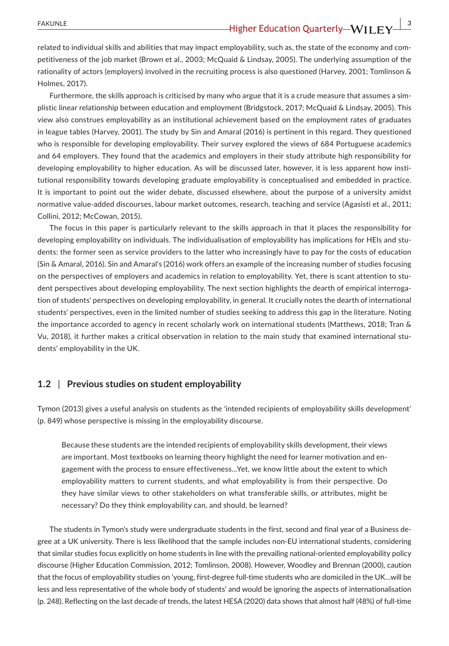related to individual skills and abilities that may impact employability, such as, the state of the economy and competitiveness of the job market (Brown et al., 2003; McQuaid & Lindsay, 2005). The underlying assumption of the rationality of actors (employers) involved in the recruiting process is also questioned (Harvey, 2001; Tomlinson & Holmes, 2017).

Furthermore, the skills approach is criticised by many who argue that it is a crude measure that assumes a simplistic linear relationship between education and employment (Bridgstock, 2017; McQuaid & Lindsay, 2005). This view also construes employability as an institutional achievement based on the employment rates of graduates in league tables (Harvey, 2001). The study by Sin and Amaral (2016) is pertinent in this regard. They questioned who is responsible for developing employability. Their survey explored the views of 684 Portuguese academics and 64 employers. They found that the academics and employers in their study attribute high responsibility for developing employability to higher education. As will be discussed later, however, it is less apparent how institutional responsibility towards developing graduate employability is conceptualised and embedded in practice. It is important to point out the wider debate, discussed elsewhere, about the purpose of a university amidst normative value-added discourses, labour market outcomes, research, teaching and service (Agasisti et al., 2011; Collini, 2012; McCowan, 2015).

The focus in this paper is particularly relevant to the skills approach in that it places the responsibility for developing employability on individuals. The individualisation of employability has implications for HEIs and students: the former seen as service providers to the latter who increasingly have to pay for the costs of education (Sin & Amaral, 2016). Sin and Amaral's (2016) work offers an example of the increasing number of studies focusing on the perspectives of employers and academics in relation to employability. Yet, there is scant attention to student perspectives about developing employability. The next section highlights the dearth of empirical interrogation of students' perspectives on developing employability, in general. It crucially notes the dearth of international students' perspectives, even in the limited number of studies seeking to address this gap in the literature. Noting the importance accorded to agency in recent scholarly work on international students (Matthews, 2018; Tran & Vu, 2018), it further makes a critical observation in relation to the main study that examined international students' employability in the UK.

#### **1.2** | **Previous studies on student employability**

Tymon (2013) gives a useful analysis on students as the 'intended recipients of employability skills development' (p. 849) whose perspective is missing in the employability discourse.

Because these students are the intended recipients of employability skills development, their views are important. Most textbooks on learning theory highlight the need for learner motivation and engagement with the process to ensure effectiveness…Yet, we know little about the extent to which employability matters to current students, and what employability is from their perspective. Do they have similar views to other stakeholders on what transferable skills, or attributes, might be necessary? Do they think employability can, and should, be learned?

The students in Tymon's study were undergraduate students in the first, second and final year of a Business degree at a UK university. There is less likelihood that the sample includes non-EU international students, considering that similar studies focus explicitly on home students in line with the prevailing national-oriented employability policy discourse (Higher Education Commission, 2012; Tomlinson, 2008). However, Woodley and Brennan (2000), caution that the focus of employability studies on 'young, first-degree full-time students who are domiciled in the UK…will be less and less representative of the whole body of students' and would be ignoring the aspects of internationalisation (p. 248). Reflecting on the last decade of trends, the latest HESA (2020) data shows that almost half (48%) of full-time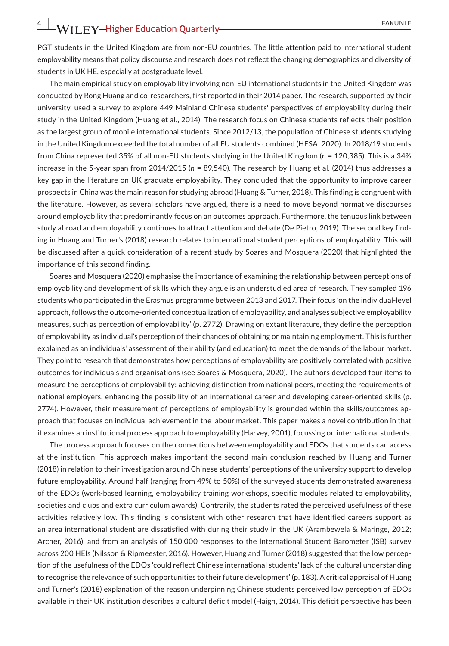## **4 |**  FAKUNLE

PGT students in the United Kingdom are from non-EU countries. The little attention paid to international student employability means that policy discourse and research does not reflect the changing demographics and diversity of students in UK HE, especially at postgraduate level.

The main empirical study on employability involving non-EU international students in the United Kingdom was conducted by Rong Huang and co-researchers, first reported in their 2014 paper. The research, supported by their university, used a survey to explore 449 Mainland Chinese students' perspectives of employability during their study in the United Kingdom (Huang et al., 2014). The research focus on Chinese students reflects their position as the largest group of mobile international students. Since 2012/13, the population of Chinese students studying in the United Kingdom exceeded the total number of all EU students combined (HESA, 2020). In 2018/19 students from China represented 35% of all non-EU students studying in the United Kingdom (*n* = 120,385). This is a 34% increase in the 5-year span from 2014/2015 (*n* = 89,540). The research by Huang et al. (2014) thus addresses a key gap in the literature on UK graduate employability. They concluded that the opportunity to improve career prospects in China was the main reason for studying abroad (Huang & Turner, 2018). This finding is congruent with the literature. However, as several scholars have argued, there is a need to move beyond normative discourses around employability that predominantly focus on an outcomes approach. Furthermore, the tenuous link between study abroad and employability continues to attract attention and debate (De Pietro, 2019). The second key finding in Huang and Turner's (2018) research relates to international student perceptions of employability. This will be discussed after a quick consideration of a recent study by Soares and Mosquera (2020) that highlighted the importance of this second finding.

Soares and Mosquera (2020) emphasise the importance of examining the relationship between perceptions of employability and development of skills which they argue is an understudied area of research. They sampled 196 students who participated in the Erasmus programme between 2013 and 2017. Their focus 'on the individual-level approach, follows the outcome-oriented conceptualization of employability, and analyses subjective employability measures, such as perception of employability' (p. 2772). Drawing on extant literature, they define the perception of employability as individual's perception of their chances of obtaining or maintaining employment. This is further explained as an individuals' assessment of their ability (and education) to meet the demands of the labour market. They point to research that demonstrates how perceptions of employability are positively correlated with positive outcomes for individuals and organisations (see Soares & Mosquera, 2020). The authors developed four items to measure the perceptions of employability: achieving distinction from national peers, meeting the requirements of national employers, enhancing the possibility of an international career and developing career-oriented skills (p. 2774). However, their measurement of perceptions of employability is grounded within the skills/outcomes approach that focuses on individual achievement in the labour market. This paper makes a novel contribution in that it examines an institutional process approach to employability (Harvey, 2001), focussing on international students.

The process approach focuses on the connections between employability and EDOs that students can access at the institution. This approach makes important the second main conclusion reached by Huang and Turner (2018) in relation to their investigation around Chinese students' perceptions of the university support to develop future employability. Around half (ranging from 49% to 50%) of the surveyed students demonstrated awareness of the EDOs (work-based learning, employability training workshops, specific modules related to employability, societies and clubs and extra curriculum awards). Contrarily, the students rated the perceived usefulness of these activities relatively low. This finding is consistent with other research that have identified careers support as an area international student are dissatisfied with during their study in the UK (Arambewela & Maringe, 2012; Archer, 2016), and from an analysis of 150,000 responses to the International Student Barometer (ISB) survey across 200 HEIs (Nilsson & Ripmeester, 2016). However, Huang and Turner (2018) suggested that the low perception of the usefulness of the EDOs 'could reflect Chinese international students' lack of the cultural understanding to recognise the relevance of such opportunities to their future development' (p. 183). A critical appraisal of Huang and Turner's (2018) explanation of the reason underpinning Chinese students perceived low perception of EDOs available in their UK institution describes a cultural deficit model (Haigh, 2014). This deficit perspective has been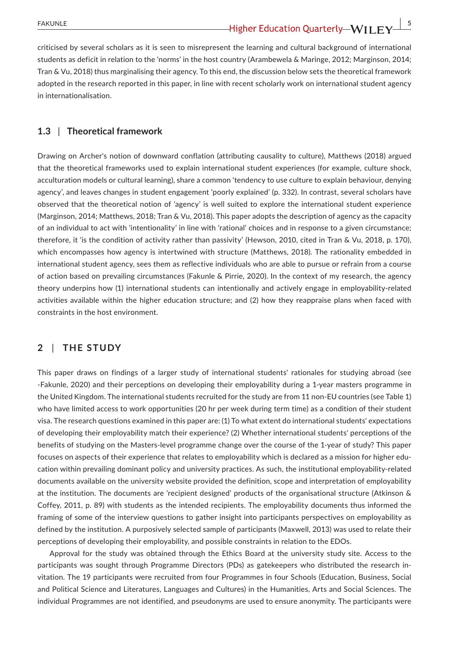criticised by several scholars as it is seen to misrepresent the learning and cultural background of international students as deficit in relation to the 'norms' in the host country (Arambewela & Maringe, 2012; Marginson, 2014; Tran & Vu, 2018) thus marginalising their agency. To this end, the discussion below sets the theoretical framework adopted in the research reported in this paper, in line with recent scholarly work on international student agency in internationalisation.

#### **1.3** | **Theoretical framework**

Drawing on Archer's notion of downward conflation (attributing causality to culture), Matthews (2018) argued that the theoretical frameworks used to explain international student experiences (for example, culture shock, acculturation models or cultural learning), share a common 'tendency to use culture to explain behaviour, denying agency', and leaves changes in student engagement 'poorly explained' (p. 332). In contrast, several scholars have observed that the theoretical notion of 'agency' is well suited to explore the international student experience (Marginson, 2014; Matthews, 2018; Tran & Vu, 2018). This paper adopts the description of agency as the capacity of an individual to act with 'intentionality' in line with 'rational' choices and in response to a given circumstance; therefore, it 'is the condition of activity rather than passivity' (Hewson, 2010, cited in Tran & Vu, 2018, p. 170), which encompasses how agency is intertwined with structure (Matthews, 2018). The rationality embedded in international student agency, sees them as reflective individuals who are able to pursue or refrain from a course of action based on prevailing circumstances (Fakunle & Pirrie, 2020). In the context of my research, the agency theory underpins how (1) international students can intentionally and actively engage in employability-related activities available within the higher education structure; and (2) how they reappraise plans when faced with constraints in the host environment.

#### **2** | **THE STUDY**

This paper draws on findings of a larger study of international students' rationales for studying abroad (see -Fakunle, 2020) and their perceptions on developing their employability during a 1-year masters programme in the United Kingdom. The international students recruited for the study are from 11 non-EU countries (see Table 1) who have limited access to work opportunities (20 hr per week during term time) as a condition of their student visa. The research questions examined in this paper are: (1) To what extent do international students' expectations of developing their employability match their experience? (2) Whether international students' perceptions of the benefits of studying on the Masters-level programme change over the course of the 1-year of study? This paper focuses on aspects of their experience that relates to employability which is declared as a mission for higher education within prevailing dominant policy and university practices. As such, the institutional employability-related documents available on the university website provided the definition, scope and interpretation of employability at the institution. The documents are 'recipient designed' products of the organisational structure (Atkinson & Coffey, 2011, p. 89) with students as the intended recipients. The employability documents thus informed the framing of some of the interview questions to gather insight into participants perspectives on employability as defined by the institution. A purposively selected sample of participants (Maxwell, 2013) was used to relate their perceptions of developing their employability, and possible constraints in relation to the EDOs.

Approval for the study was obtained through the Ethics Board at the university study site. Access to the participants was sought through Programme Directors (PDs) as gatekeepers who distributed the research invitation. The 19 participants were recruited from four Programmes in four Schools (Education, Business, Social and Political Science and Literatures, Languages and Cultures) in the Humanities, Arts and Social Sciences. The individual Programmes are not identified, and pseudonyms are used to ensure anonymity. The participants were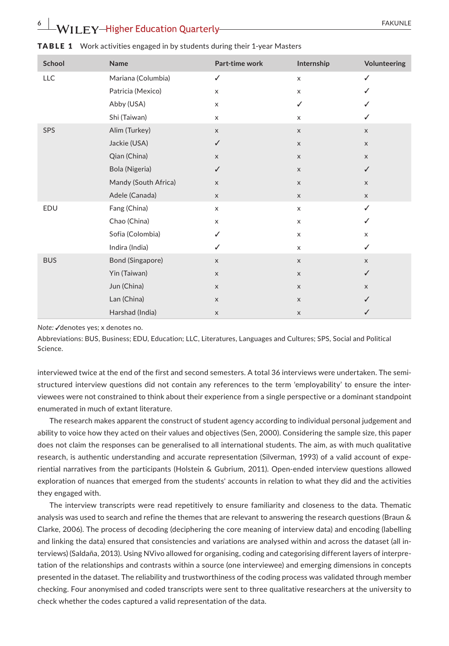## **EXAMPLE 20 IN A REPORT OF A REPORT OF A REPORT OF A REAL PROPERTY FAKUNLE**

| School     | Name                 | Part-time work | Internship     | Volunteering |
|------------|----------------------|----------------|----------------|--------------|
| LLC        | Mariana (Columbia)   | ✓              | X              | ✓            |
|            | Patricia (Mexico)    | X              | X              | ✓            |
|            | Abby (USA)           | X              | ✓              | ✓            |
|            | Shi (Taiwan)         | X              | X              | ✓            |
| SPS        | Alim (Turkey)        | $\mathsf{x}$   | $\mathsf X$    | $\mathsf X$  |
|            | Jackie (USA)         | $\checkmark$   | $\mathsf X$    | $\mathsf X$  |
|            | Qian (China)         | X              | $\mathsf X$    | $\mathsf X$  |
|            | Bola (Nigeria)       | ✓              | $\pmb{\times}$ | ✓            |
|            | Mandy (South Africa) | X              | $\mathsf X$    | X            |
|            | Adele (Canada)       | X              | $\mathsf X$    | $\mathsf X$  |
| EDU        | Fang (China)         | X              | X              | ✓            |
|            | Chao (China)         | X              | X              | ✓            |
|            | Sofia (Colombia)     | ✓              | X              | X            |
|            | Indira (India)       | ✓              | X              | ✓            |
| <b>BUS</b> | Bond (Singapore)     | X              | $\mathsf X$    | $\mathsf X$  |
|            | Yin (Taiwan)         | $\mathsf X$    | $\mathsf X$    | ✓            |
|            | Jun (China)          | X              | $\mathsf X$    | $\mathsf X$  |
|            | Lan (China)          | X              | $\mathsf X$    | ✓            |
|            | Harshad (India)      | $\mathsf X$    | $\mathsf X$    | ✓            |

#### TABLE 1 Work activities engaged in by students during their 1-year Masters

*Note:* √denotes yes: x denotes no.

Abbreviations: BUS, Business; EDU, Education; LLC, Literatures, Languages and Cultures; SPS, Social and Political Science.

interviewed twice at the end of the first and second semesters. A total 36 interviews were undertaken. The semistructured interview questions did not contain any references to the term 'employability' to ensure the interviewees were not constrained to think about their experience from a single perspective or a dominant standpoint enumerated in much of extant literature.

The research makes apparent the construct of student agency according to individual personal judgement and ability to voice how they acted on their values and objectives (Sen, 2000). Considering the sample size, this paper does not claim the responses can be generalised to all international students. The aim, as with much qualitative research, is authentic understanding and accurate representation (Silverman, 1993) of a valid account of experiential narratives from the participants (Holstein & Gubrium, 2011). Open-ended interview questions allowed exploration of nuances that emerged from the students' accounts in relation to what they did and the activities they engaged with.

The interview transcripts were read repetitively to ensure familiarity and closeness to the data. Thematic analysis was used to search and refine the themes that are relevant to answering the research questions (Braun & Clarke, 2006). The process of decoding (deciphering the core meaning of interview data) and encoding (labelling and linking the data) ensured that consistencies and variations are analysed within and across the dataset (all interviews) (Saldaña, 2013). Using NVivo allowed for organising, coding and categorising different layers of interpretation of the relationships and contrasts within a source (one interviewee) and emerging dimensions in concepts presented in the dataset. The reliability and trustworthiness of the coding process was validated through member checking. Four anonymised and coded transcripts were sent to three qualitative researchers at the university to check whether the codes captured a valid representation of the data.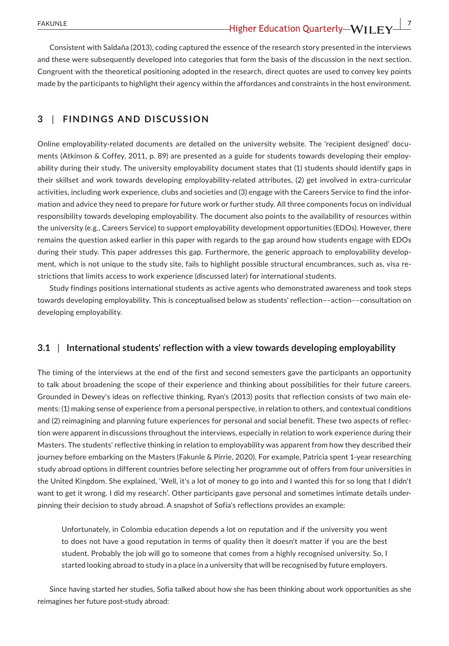Consistent with Saldaña (2013), coding captured the essence of the research story presented in the interviews and these were subsequently developed into categories that form the basis of the discussion in the next section. Congruent with the theoretical positioning adopted in the research, direct quotes are used to convey key points made by the participants to highlight their agency within the affordances and constraints in the host environment.

#### **3** | **FINDINGS AND DISCUSSION**

Online employability-related documents are detailed on the university website. The 'recipient designed' documents (Atkinson & Coffey, 2011, p. 89) are presented as a guide for students towards developing their employability during their study. The university employability document states that (1) students should identify gaps in their skillset and work towards developing employability-related attributes, (2) get involved in extra-curricular activities, including work experience, clubs and societies and (3) engage with the Careers Service to find the information and advice they need to prepare for future work or further study. All three components focus on individual responsibility towards developing employability. The document also points to the availability of resources within the university (e.g., Careers Service) to support employability development opportunities (EDOs). However, there remains the question asked earlier in this paper with regards to the gap around how students engage with EDOs during their study. This paper addresses this gap. Furthermore, the generic approach to employability development, which is not unique to the study site, fails to highlight possible structural encumbrances, such as, visa restrictions that limits access to work experience (discussed later) for international students.

Study findings positions international students as active agents who demonstrated awareness and took steps towards developing employability. This is conceptualised below as students' reflection––action––consultation on developing employability.

#### **3.1** | **International students' reflection with a view towards developing employability**

The timing of the interviews at the end of the first and second semesters gave the participants an opportunity to talk about broadening the scope of their experience and thinking about possibilities for their future careers. Grounded in Dewey's ideas on reflective thinking, Ryan's (2013) posits that reflection consists of two main elements: (1) making sense of experience from a personal perspective, in relation to others, and contextual conditions and (2) reimagining and planning future experiences for personal and social benefit. These two aspects of reflection were apparent in discussions throughout the interviews, especially in relation to work experience during their Masters. The students' reflective thinking in relation to employability was apparent from how they described their journey before embarking on the Masters (Fakunle & Pirrie, 2020). For example, Patricia spent 1-year researching study abroad options in different countries before selecting her programme out of offers from four universities in the United Kingdom. She explained, 'Well, it's a lot of money to go into and I wanted this for so long that I didn't want to get it wrong. I did my research'. Other participants gave personal and sometimes intimate details underpinning their decision to study abroad. A snapshot of Sofia's reflections provides an example:

Unfortunately, in Colombia education depends a lot on reputation and if the university you went to does not have a good reputation in terms of quality then it doesn't matter if you are the best student. Probably the job will go to someone that comes from a highly recognised university. So, I started looking abroad to study in a place in a university that will be recognised by future employers.

Since having started her studies, Sofia talked about how she has been thinking about work opportunities as she reimagines her future post-study abroad: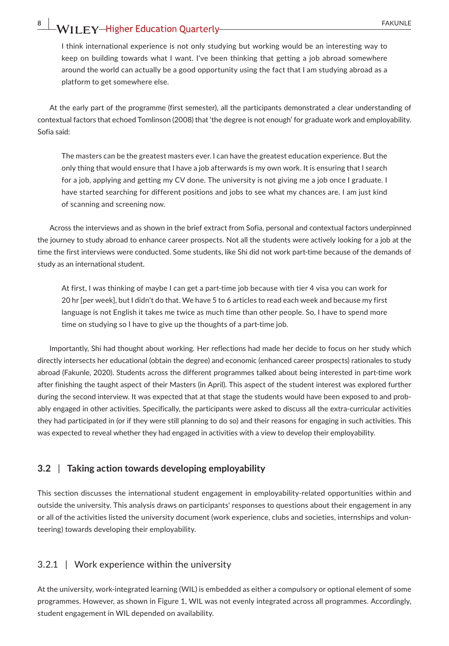## 8 **WILEY-Higher Education Quarterly- CONSIDER ALL READULE**

I think international experience is not only studying but working would be an interesting way to keep on building towards what I want. I've been thinking that getting a job abroad somewhere around the world can actually be a good opportunity using the fact that I am studying abroad as a platform to get somewhere else.

At the early part of the programme (first semester), all the participants demonstrated a clear understanding of contextual factors that echoed Tomlinson (2008) that 'the degree is not enough' for graduate work and employability. Sofia said:

The masters can be the greatest masters ever. I can have the greatest education experience. But the only thing that would ensure that I have a job afterwards is my own work. It is ensuring that I search for a job, applying and getting my CV done. The university is not giving me a job once I graduate. I have started searching for different positions and jobs to see what my chances are. I am just kind of scanning and screening now.

Across the interviews and as shown in the brief extract from Sofia, personal and contextual factors underpinned the journey to study abroad to enhance career prospects. Not all the students were actively looking for a job at the time the first interviews were conducted. Some students, like Shi did not work part-time because of the demands of study as an international student.

At first, I was thinking of maybe I can get a part-time job because with tier 4 visa you can work for 20 hr [per week], but I didn't do that. We have 5 to 6 articles to read each week and because my first language is not English it takes me twice as much time than other people. So, I have to spend more time on studying so I have to give up the thoughts of a part-time job.

Importantly, Shi had thought about working. Her reflections had made her decide to focus on her study which directly intersects her educational (obtain the degree) and economic (enhanced career prospects) rationales to study abroad (Fakunle, 2020). Students across the different programmes talked about being interested in part-time work after finishing the taught aspect of their Masters (in April). This aspect of the student interest was explored further during the second interview. It was expected that at that stage the students would have been exposed to and probably engaged in other activities. Specifically, the participants were asked to discuss all the extra-curricular activities they had participated in (or if they were still planning to do so) and their reasons for engaging in such activities. This was expected to reveal whether they had engaged in activities with a view to develop their employability.

#### **3.2** | **Taking action towards developing employability**

This section discusses the international student engagement in employability-related opportunities within and outside the university. This analysis draws on participants' responses to questions about their engagement in any or all of the activities listed the university document (work experience, clubs and societies, internships and volunteering) towards developing their employability.

#### 3.2.1 | Work experience within the university

At the university, work-integrated learning (WIL) is embedded as either a compulsory or optional element of some programmes. However, as shown in Figure 1, WIL was not evenly integrated across all programmes. Accordingly, student engagement in WIL depended on availability.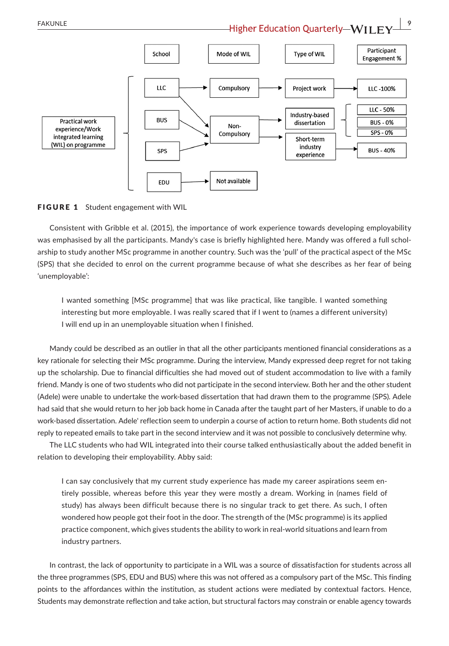Participant School Mode of WIL **Type of WIL Engagement %** LLC Compulsory Project work LLC-100% LLC - 50% Industry-based **Practical work BUS** dissertation **BUS-0%**  $Non$ experience/Work  $SPS - 0%$ Compulsory integrated learning Short-term (WIL) on programme industry **BUS-40%** SPS experience Not available EDU

#### FIGURE 1 Student engagement with WIL

Consistent with Gribble et al. (2015), the importance of work experience towards developing employability was emphasised by all the participants. Mandy's case is briefly highlighted here. Mandy was offered a full scholarship to study another MSc programme in another country. Such was the 'pull' of the practical aspect of the MSc (SPS) that she decided to enrol on the current programme because of what she describes as her fear of being 'unemployable':

I wanted something [MSc programme] that was like practical, like tangible. I wanted something interesting but more employable. I was really scared that if I went to (names a different university) I will end up in an unemployable situation when I finished.

Mandy could be described as an outlier in that all the other participants mentioned financial considerations as a key rationale for selecting their MSc programme. During the interview, Mandy expressed deep regret for not taking up the scholarship. Due to financial difficulties she had moved out of student accommodation to live with a family friend. Mandy is one of two students who did not participate in the second interview. Both her and the other student (Adele) were unable to undertake the work-based dissertation that had drawn them to the programme (SPS). Adele had said that she would return to her job back home in Canada after the taught part of her Masters, if unable to do a work-based dissertation. Adele' reflection seem to underpin a course of action to return home. Both students did not reply to repeated emails to take part in the second interview and it was not possible to conclusively determine why.

The LLC students who had WIL integrated into their course talked enthusiastically about the added benefit in relation to developing their employability. Abby said:

I can say conclusively that my current study experience has made my career aspirations seem entirely possible, whereas before this year they were mostly a dream. Working in (names field of study) has always been difficult because there is no singular track to get there. As such, I often wondered how people got their foot in the door. The strength of the (MSc programme) is its applied practice component, which gives students the ability to work in real-world situations and learn from industry partners.

In contrast, the lack of opportunity to participate in a WIL was a source of dissatisfaction for students across all the three programmes (SPS, EDU and BUS) where this was not offered as a compulsory part of the MSc. This finding points to the affordances within the institution, as student actions were mediated by contextual factors. Hence, Students may demonstrate reflection and take action, but structural factors may constrain or enable agency towards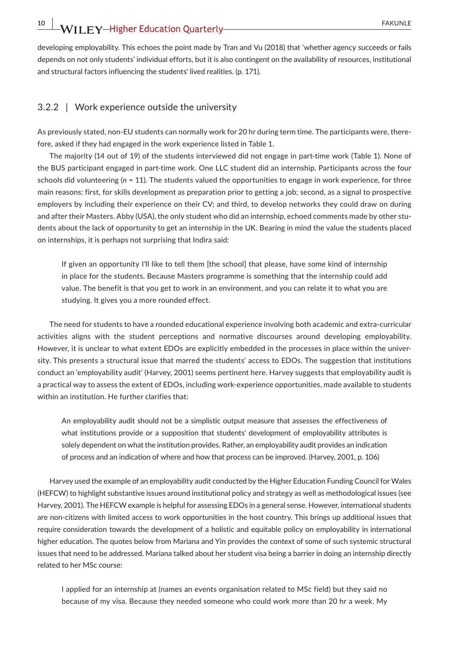developing employability. This echoes the point made by Tran and Vu (2018) that 'whether agency succeeds or fails depends on not only students' individual efforts, but it is also contingent on the availability of resources, institutional and structural factors influencing the students' lived realities. (p. 171).

#### 3.2.2 | Work experience outside the university

As previously stated, non-EU students can normally work for 20 hr during term time. The participants were, therefore, asked if they had engaged in the work experience listed in Table 1.

The majority (14 out of 19) of the students interviewed did not engage in part-time work (Table 1). None of the BUS participant engaged in part-time work. One LLC student did an internship. Participants across the four schools did volunteering (*n* = 11). The students valued the opportunities to engage in work experience, for three main reasons: first, for skills development as preparation prior to getting a job; second, as a signal to prospective employers by including their experience on their CV; and third, to develop networks they could draw on during and after their Masters. Abby (USA), the only student who did an internship, echoed comments made by other students about the lack of opportunity to get an internship in the UK. Bearing in mind the value the students placed on internships, it is perhaps not surprising that Indira said:

If given an opportunity I'll like to tell them [the school] that please, have some kind of internship in place for the students. Because Masters programme is something that the internship could add value. The benefit is that you get to work in an environment, and you can relate it to what you are studying. It gives you a more rounded effect.

The need for students to have a rounded educational experience involving both academic and extra-curricular activities aligns with the student perceptions and normative discourses around developing employability. However, it is unclear to what extent EDOs are explicitly embedded in the processes in place within the university. This presents a structural issue that marred the students' access to EDOs. The suggestion that institutions conduct an 'employability audit' (Harvey, 2001) seems pertinent here. Harvey suggests that employability audit is a practical way to assess the extent of EDOs, including work-experience opportunities, made available to students within an institution. He further clarifies that:

An employability audit should not be a simplistic output measure that assesses the effectiveness of what institutions provide or a supposition that students' development of employability attributes is solely dependent on what the institution provides. Rather, an employability audit provides an indication of process and an indication of where and how that process can be improved. (Harvey, 2001, p. 106)

Harvey used the example of an employability audit conducted by the Higher Education Funding Council for Wales (HEFCW) to highlight substantive issues around institutional policy and strategy as well as methodological issues (see Harvey, 2001). The HEFCW example is helpful for assessing EDOs in a general sense. However, international students are non-citizens with limited access to work opportunities in the host country. This brings up additional issues that require consideration towards the development of a holistic and equitable policy on employability in international higher education. The quotes below from Mariana and Yin provides the context of some of such systemic structural issues that need to be addressed. Mariana talked about her student visa being a barrier in doing an internship directly related to her MSc course:

I applied for an internship at (names an events organisation related to MSc field) but they said no because of my visa. Because they needed someone who could work more than 20 hr a week. My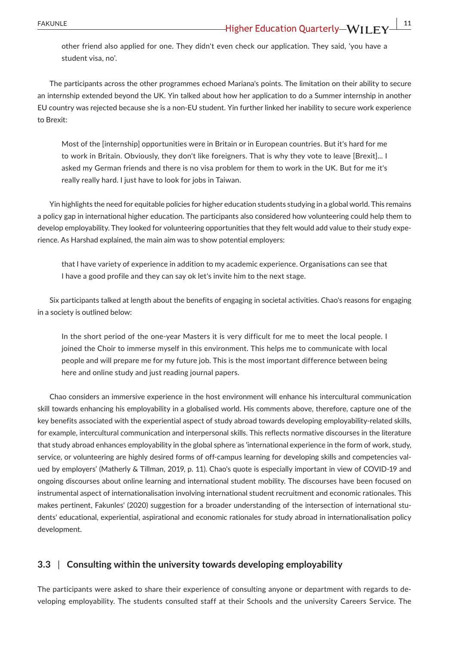other friend also applied for one. They didn't even check our application. They said, 'you have a student visa, no'.

The participants across the other programmes echoed Mariana's points. The limitation on their ability to secure an internship extended beyond the UK. Yin talked about how her application to do a Summer internship in another EU country was rejected because she is a non-EU student. Yin further linked her inability to secure work experience to Brexit:

Most of the [internship] opportunities were in Britain or in European countries. But it's hard for me to work in Britain. Obviously, they don't like foreigners. That is why they vote to leave [Brexit]... I asked my German friends and there is no visa problem for them to work in the UK. But for me it's really really hard. I just have to look for jobs in Taiwan.

Yin highlights the need for equitable policies for higher education students studying in a global world. This remains a policy gap in international higher education. The participants also considered how volunteering could help them to develop employability. They looked for volunteering opportunities that they felt would add value to their study experience. As Harshad explained, the main aim was to show potential employers:

that I have variety of experience in addition to my academic experience. Organisations can see that I have a good profile and they can say ok let's invite him to the next stage.

Six participants talked at length about the benefits of engaging in societal activities. Chao's reasons for engaging in a society is outlined below:

In the short period of the one-year Masters it is very difficult for me to meet the local people. I joined the Choir to immerse myself in this environment. This helps me to communicate with local people and will prepare me for my future job. This is the most important difference between being here and online study and just reading journal papers.

Chao considers an immersive experience in the host environment will enhance his intercultural communication skill towards enhancing his employability in a globalised world. His comments above, therefore, capture one of the key benefits associated with the experiential aspect of study abroad towards developing employability-related skills, for example, intercultural communication and interpersonal skills. This reflects normative discourses in the literature that study abroad enhances employability in the global sphere as 'international experience in the form of work, study, service, or volunteering are highly desired forms of off-campus learning for developing skills and competencies valued by employers' (Matherly & Tillman, 2019, p. 11). Chao's quote is especially important in view of COVID-19 and ongoing discourses about online learning and international student mobility. The discourses have been focused on instrumental aspect of internationalisation involving international student recruitment and economic rationales. This makes pertinent, Fakunles' (2020) suggestion for a broader understanding of the intersection of international students' educational, experiential, aspirational and economic rationales for study abroad in internationalisation policy development.

#### **3.3** | **Consulting within the university towards developing employability**

The participants were asked to share their experience of consulting anyone or department with regards to developing employability. The students consulted staff at their Schools and the university Careers Service. The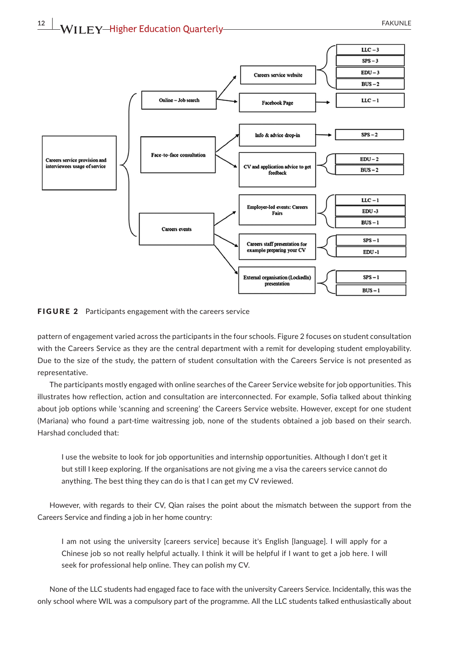





pattern of engagement varied across the participants in the four schools. Figure 2 focuses on student consultation with the Careers Service as they are the central department with a remit for developing student employability. Due to the size of the study, the pattern of student consultation with the Careers Service is not presented as representative.

The participants mostly engaged with online searches of the Career Service website for job opportunities. This illustrates how reflection, action and consultation are interconnected. For example, Sofia talked about thinking about job options while 'scanning and screening' the Careers Service website. However, except for one student (Mariana) who found a part-time waitressing job, none of the students obtained a job based on their search. Harshad concluded that:

I use the website to look for job opportunities and internship opportunities. Although I don't get it but still I keep exploring. If the organisations are not giving me a visa the careers service cannot do anything. The best thing they can do is that I can get my CV reviewed.

However, with regards to their CV, Qian raises the point about the mismatch between the support from the Careers Service and finding a job in her home country:

I am not using the university [careers service] because it's English [language]. I will apply for a Chinese job so not really helpful actually. I think it will be helpful if I want to get a job here. I will seek for professional help online. They can polish my CV.

None of the LLC students had engaged face to face with the university Careers Service. Incidentally, this was the only school where WIL was a compulsory part of the programme. All the LLC students talked enthusiastically about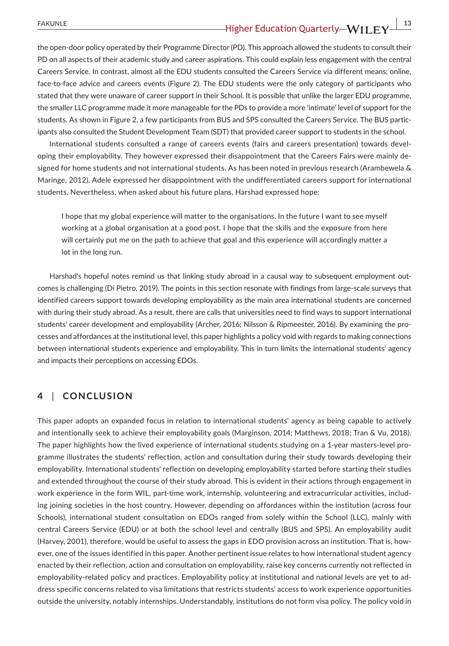### **FAKUNLE 13**<br> **13**<br> **13**<br> **13**<br> **13**<br> **13**<br> **13**

the open-door policy operated by their Programme Director (PD). This approach allowed the students to consult their PD on all aspects of their academic study and career aspirations. This could explain less engagement with the central Careers Service. In contrast, almost all the EDU students consulted the Careers Service via different means; online, face-to-face advice and careers events (Figure 2). The EDU students were the only category of participants who stated that they were unaware of career support in their School. It is possible that unlike the larger EDU programme, the smaller LLC programme made it more manageable for the PDs to provide a more 'intimate' level of support for the students. As shown in Figure 2, a few participants from BUS and SPS consulted the Careers Service. The BUS participants also consulted the Student Development Team (SDT) that provided career support to students in the school.

International students consulted a range of careers events (fairs and careers presentation) towards developing their employability. They however expressed their disappointment that the Careers Fairs were mainly designed for home students and not international students. As has been noted in previous research (Arambewela & Maringe, 2012), Adele expressed her disappointment with the undifferentiated careers support for international students. Nevertheless, when asked about his future plans, Harshad expressed hope:

I hope that my global experience will matter to the organisations. In the future I want to see myself working at a global organisation at a good post. I hope that the skills and the exposure from here will certainly put me on the path to achieve that goal and this experience will accordingly matter a lot in the long run.

Harshad's hopeful notes remind us that linking study abroad in a causal way to subsequent employment outcomes is challenging (Di Pietro, 2019). The points in this section resonate with findings from large-scale surveys that identified careers support towards developing employability as the main area international students are concerned with during their study abroad. As a result, there are calls that universities need to find ways to support international students' career development and employability (Archer, 2016; Nilsson & Ripmeester, 2016). By examining the processes and affordances at the institutional level, this paper highlights a policy void with regards to making connections between international students experience and employability. This in turn limits the international students' agency and impacts their perceptions on accessing EDOs.

#### **4** | **CONCLUSION**

This paper adopts an expanded focus in relation to international students' agency as being capable to actively and intentionally seek to achieve their employability goals (Marginson, 2014; Matthews, 2018; Tran & Vu, 2018). The paper highlights how the lived experience of international students studying on a 1-year masters-level programme illustrates the students' reflection, action and consultation during their study towards developing their employability. International students' reflection on developing employability started before starting their studies and extended throughout the course of their study abroad. This is evident in their actions through engagement in work experience in the form WIL, part-time work, internship, volunteering and extracurricular activities, including joining societies in the host country. However, depending on affordances within the institution (across four Schools), international student consultation on EDOs ranged from solely within the School (LLC), mainly with central Careers Service (EDU) or at both the school level and centrally (BUS and SPS). An employability audit (Harvey, 2001), therefore, would be useful to assess the gaps in EDO provision across an institution. That is, however, one of the issues identified in this paper. Another pertinent issue relates to how international student agency enacted by their reflection, action and consultation on employability, raise key concerns currently not reflected in employability-related policy and practices. Employability policy at institutional and national levels are yet to address specific concerns related to visa limitations that restricts students' access to work experience opportunities outside the university, notably internships. Understandably, institutions do not form visa policy. The policy void in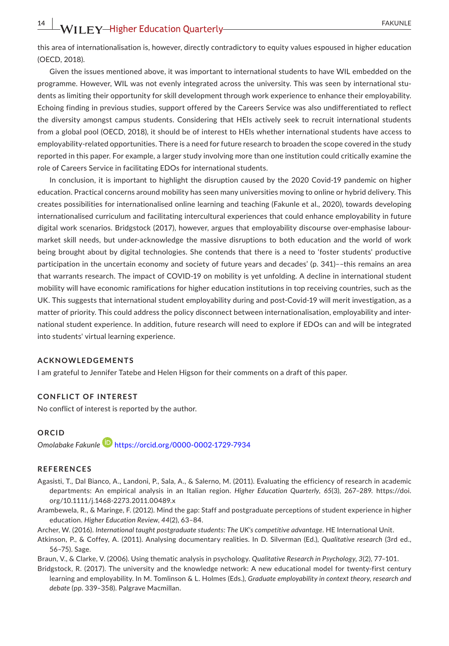this area of internationalisation is, however, directly contradictory to equity values espoused in higher education (OECD, 2018).

Given the issues mentioned above, it was important to international students to have WIL embedded on the programme. However, WIL was not evenly integrated across the university. This was seen by international students as limiting their opportunity for skill development through work experience to enhance their employability. Echoing finding in previous studies, support offered by the Careers Service was also undifferentiated to reflect the diversity amongst campus students. Considering that HEIs actively seek to recruit international students from a global pool (OECD, 2018), it should be of interest to HEIs whether international students have access to employability-related opportunities. There is a need for future research to broaden the scope covered in the study reported in this paper. For example, a larger study involving more than one institution could critically examine the role of Careers Service in facilitating EDOs for international students.

In conclusion, it is important to highlight the disruption caused by the 2020 Covid-19 pandemic on higher education. Practical concerns around mobility has seen many universities moving to online or hybrid delivery. This creates possibilities for internationalised online learning and teaching (Fakunle et al., 2020), towards developing internationalised curriculum and facilitating intercultural experiences that could enhance employability in future digital work scenarios. Bridgstock (2017), however, argues that employability discourse over-emphasise labourmarket skill needs, but under-acknowledge the massive disruptions to both education and the world of work being brought about by digital technologies. She contends that there is a need to 'foster students' productive participation in the uncertain economy and society of future years and decades' (p. 341)––this remains an area that warrants research. The impact of COVID-19 on mobility is yet unfolding. A decline in international student mobility will have economic ramifications for higher education institutions in top receiving countries, such as the UK. This suggests that international student employability during and post-Covid-19 will merit investigation, as a matter of priority. This could address the policy disconnect between internationalisation, employability and international student experience. In addition, future research will need to explore if EDOs can and will be integrated into students' virtual learning experience.

#### **ACKNOWLEDGEMENTS**

I am grateful to Jennifer Tatebe and Helen Higson for their comments on a draft of this paper.

#### **CONFLICT OF INTEREST**

No conflict of interest is reported by the author.

#### **ORCID**

*Omolabake Fakunle* <https://orcid.org/0000-0002-1729-7934>

#### **REFERENCES**

- Agasisti, T., Dal Bianco, A., Landoni, P., Sala, A., & Salerno, M. (2011). Evaluating the efficiency of research in academic departments: An empirical analysis in an Italian region. *Higher Education Quarterly*, *65*(3), 267–289. [https://doi.](https://doi.org/10.1111/j.1468-2273.2011.00489.x) [org/10.1111/j.1468-2273.2011.00489.x](https://doi.org/10.1111/j.1468-2273.2011.00489.x)
- Arambewela, R., & Maringe, F. (2012). Mind the gap: Staff and postgraduate perceptions of student experience in higher education. *Higher Education Review*, *44*(2), 63–84.

Archer, W. (2016). *International taught postgraduate students: The UK's competitive advantage*. HE International Unit.

Atkinson, P., & Coffey, A. (2011). Analysing documentary realities. In D. Silverman (Ed.), *Qualitative research* (3rd ed., 56–75). Sage.

Braun, V., & Clarke, V. (2006). Using thematic analysis in psychology. *Qualitative Research in Psychology*, *3*(2), 77–101.

Bridgstock, R. (2017). The university and the knowledge network: A new educational model for twenty-first century learning and employability. In M. Tomlinson & L. Holmes (Eds.), *Graduate employability in context theory, research and debate* (pp. 339–358). Palgrave Macmillan.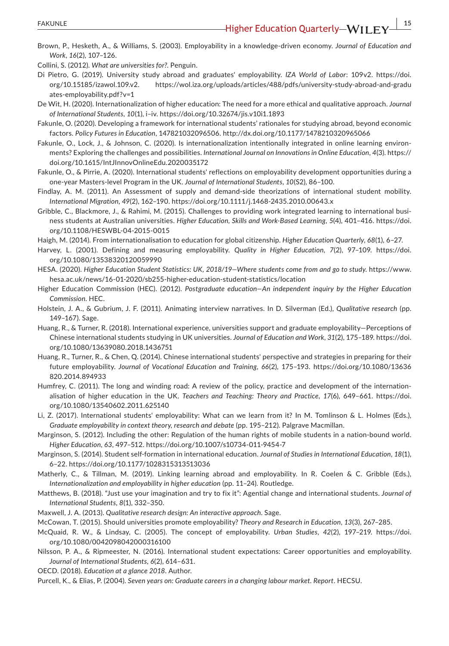Brown, P., Hesketh, A., & Williams, S. (2003). Employability in a knowledge-driven economy. *Journal of Education and Work*, *16*(2), 107–126.

Collini, S. (2012). *What are universities for?*. Penguin.

- Di Pietro, G. (2019). University study abroad and graduates' employability. *IZA World of Labor*: 109v2. [https://doi.](https://doi.org/10.15185/izawol.109.v2) [org/10.15185/izawol.109.v2.](https://doi.org/10.15185/izawol.109.v2) [https://wol.iza.org/uploads/articles/488/pdfs/university-study-abroad-and-gradu](https://wol.iza.org/uploads/articles/488/pdfs/university-study-abroad-and-graduates-employability.pdf?v=1) [ates-employability.pdf?v=1](https://wol.iza.org/uploads/articles/488/pdfs/university-study-abroad-and-graduates-employability.pdf?v=1)
- De Wit, H. (2020). Internationalization of higher education: The need for a more ethical and qualitative approach. *Journal of International Students*, *10*(1), i–iv. <https://doi.org/10.32674/jis.v10i1.1893>
- Fakunle, O. (2020). Developing a framework for international students' rationales for studying abroad, beyond economic factors. *Policy Futures in Education*, 147821032096506. <http://dx.doi.org/10.1177/1478210320965066>
- Fakunle, O., Lock, J., & Johnson, C. (2020). Is internationalization intentionally integrated in online learning environments? Exploring the challenges and possibilities. *International Journal on Innovations in Online Education*, *4*(3). [https://](https://doi.org/10.1615/IntJInnovOnlineEdu.2020035172) [doi.org/10.1615/IntJInnovOnlineEdu.2020035172](https://doi.org/10.1615/IntJInnovOnlineEdu.2020035172)
- Fakunle, O., & Pirrie, A. (2020). International students' reflections on employability development opportunities during a one-year Masters-level Program in the UK. *Journal of International Students*, *10*(S2), 86–100.
- Findlay, A. M. (2011). An Assessment of supply and demand-side theorizations of international student mobility. *International Migration*, *49*(2), 162–190.<https://doi.org/10.1111/j.1468-2435.2010.00643.x>
- Gribble, C., Blackmore, J., & Rahimi, M. (2015). Challenges to providing work integrated learning to international business students at Australian universities. *Higher Education, Skills and Work-Based Learning*, *5*(4), 401–416. [https://doi.](https://doi.org/10.1108/HESWBL-04-2015-0015) [org/10.1108/HESWBL-04-2015-0015](https://doi.org/10.1108/HESWBL-04-2015-0015)
- Haigh, M. (2014). From internationalisation to education for global citizenship. *Higher Education Quarterly*, *68*(1), 6–27.
- Harvey, L. (2001). Defining and measuring employability. *Quality in Higher Education*, *7*(2), 97–109. [https://doi.](https://doi.org/10.1080/13538320120059990) [org/10.1080/13538320120059990](https://doi.org/10.1080/13538320120059990)
- HESA. (2020). *Higher Education Student Statistics: UK, 2018/19—Where students come from and go to study*. [https://www.](https://www.hesa.ac.uk/news/16-01-2020/sb255-higher-education-student-statistics/location) [hesa.ac.uk/news/16-01-2020/sb255-higher-education-student-statistics/location](https://www.hesa.ac.uk/news/16-01-2020/sb255-higher-education-student-statistics/location)
- Higher Education Commission (HEC). (2012). *Postgraduate education—An independent inquiry by the Higher Education Commission*. HEC.
- Holstein, J. A., & Gubrium, J. F. (2011). Animating interview narratives. In D. Silverman (Ed.), *Qualitative research* (pp. 149–167). Sage.
- Huang, R., & Turner, R. (2018). International experience, universities support and graduate employability—Perceptions of Chinese international students studying in UK universities. *Journal of Education and Work*, *31*(2), 175–189. [https://doi.](https://doi.org/10.1080/13639080.2018.1436751) [org/10.1080/13639080.2018.1436751](https://doi.org/10.1080/13639080.2018.1436751)
- Huang, R., Turner, R., & Chen, Q. (2014). Chinese international students' perspective and strategies in preparing for their future employability. *Journal of Vocational Education and Training*, *66*(2), 175–193. [https://doi.org/10.1080/13636](https://doi.org/10.1080/13636820.2014.894933) [820.2014.894933](https://doi.org/10.1080/13636820.2014.894933)
- Humfrey, C. (2011). The long and winding road: A review of the policy, practice and development of the internationalisation of higher education in the UK. *Teachers and Teaching: Theory and Practice*, *17*(6), 649–661. [https://doi.](https://doi.org/10.1080/13540602.2011.625140) [org/10.1080/13540602.2011.625140](https://doi.org/10.1080/13540602.2011.625140)
- Li, Z. (2017). International students' employability: What can we learn from it? In M. Tomlinson & L. Holmes (Eds.), *Graduate employability in context theory, research and debate* (pp. 195–212). Palgrave Macmillan.
- Marginson, S. (2012). Including the other: Regulation of the human rights of mobile students in a nation-bound world. *Higher Education*, *63*, 497–512. <https://doi.org/10.1007/s10734-011-9454-7>
- Marginson, S. (2014). Student self-formation in international education. *Journal of Studies in International Education*, *18*(1), 6–22. <https://doi.org/10.1177/1028315313513036>
- Matherly, C., & Tillman, M. (2019). Linking learning abroad and employability. In R. Coelen & C. Gribble (Eds.), *Internationalization and employability in higher education* (pp. 11–24). Routledge.
- Matthews, B. (2018). "Just use your imagination and try to fix it": Agential change and international students. *Journal of International Students*, *8*(1), 332–350.
- Maxwell, J. A. (2013). *Qualitative research design: An interactive approach*. Sage.
- McCowan, T. (2015). Should universities promote employability? *Theory and Research in Education*, *13*(3), 267–285.
- McQuaid, R. W., & Lindsay, C. (2005). The concept of employability. *Urban Studies*, *42*(2), 197–219. [https://doi.](https://doi.org/10.1080/0042098042000316100) [org/10.1080/0042098042000316100](https://doi.org/10.1080/0042098042000316100)
- Nilsson, P. A., & Ripmeester, N. (2016). International student expectations: Career opportunities and employability. *Journal of International Students*, *6*(2), 614–631.
- OECD. (2018). *Education at a glance 2018*. Author.
- Purcell, K., & Elias, P. (2004). *Seven years on: Graduate careers in a changing labour market. Report*. HECSU.